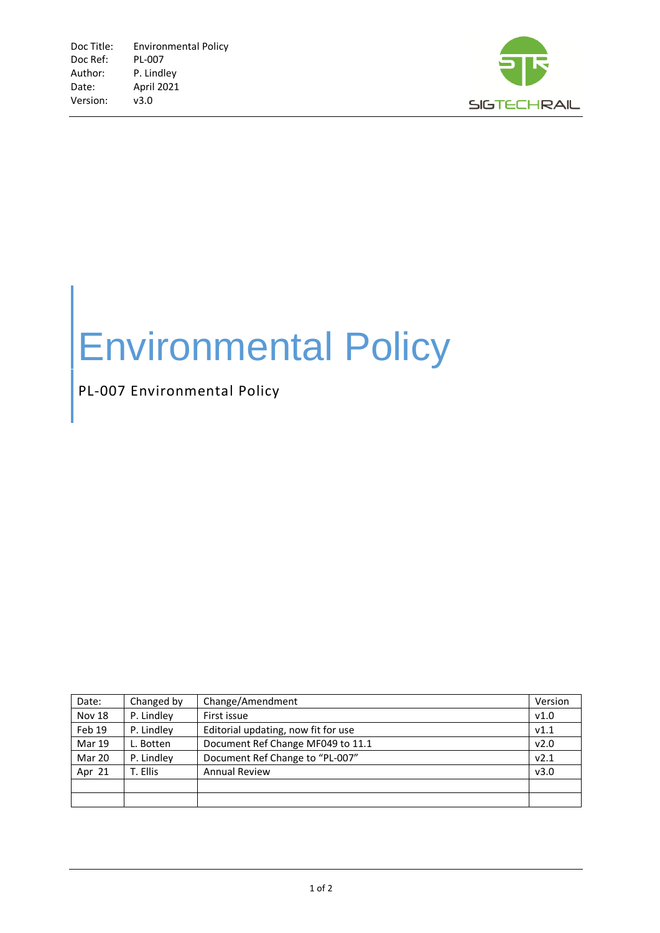

## Environmental Policy

PL-007 Environmental Policy

| Date:         | Changed by | Change/Amendment                    | Version          |
|---------------|------------|-------------------------------------|------------------|
| <b>Nov 18</b> | P. Lindley | First issue                         | V1.0             |
| Feb 19        | P. Lindley | Editorial updating, now fit for use | V1.1             |
| <b>Mar 19</b> | L. Botten  | Document Ref Change MF049 to 11.1   | v2.0             |
| Mar 20        | P. Lindley | Document Ref Change to "PL-007"     | V <sub>2.1</sub> |
| Apr 21        | T. Ellis   | <b>Annual Review</b>                | v3.0             |
|               |            |                                     |                  |
|               |            |                                     |                  |